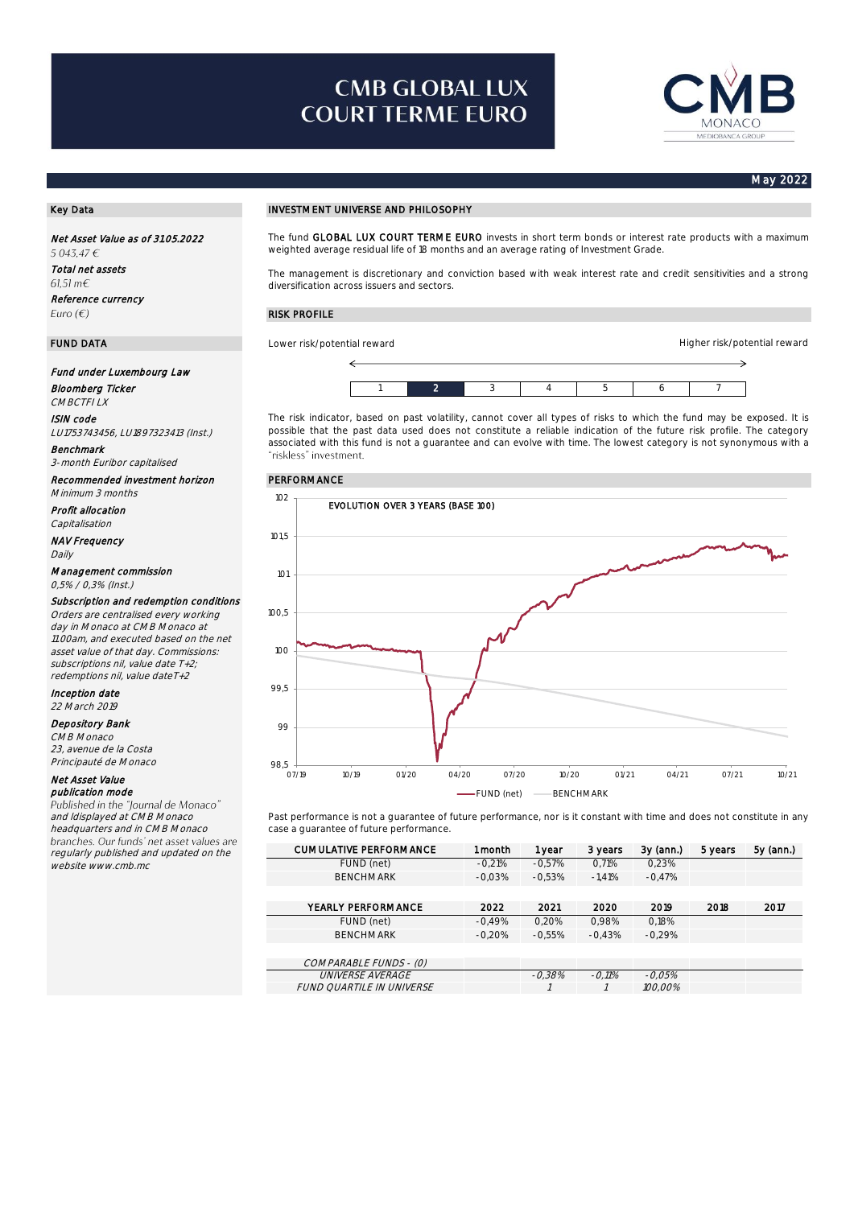# **CMB GLOBAL LUX COURT TERME EURO**



Higher risk/potential reward

#### May 2022

Net Asset Value as of 31.05.2022 5 043,47 € Total net assets  $61.51 \text{ m} \in$ Reference currency Euro  $(\epsilon)$ 

### Fund under Luxembourg Law

Bloomberg Ticker CMBCTFI LX

ISIN code

LU1753743456, LU1897323413 (Inst.) Benchmark

3-month Euribor capitalised

Recommended investment horizon PERFORMANCE Minimum 3 months

Profit allocation

Capitalisation NAV Frequency

Daily

#### Management commission 0,5% / 0,3% (Inst.)

Subscription and redemption conditions Orders are centralised every working day in Monaco at CMB Monaco at

11.00am, and executed based on the net asset value of that day. Commissions: subscriptions nil, value date T+2, redemptions nil, value dateT+2

Inception date 22 March 2019

Depository Bank

#### CMB Monaco

23, avenue de la Costa Principauté de Monaco

## Net Asset Value

publication mode<br>Published in the "Journal de Monaco" and ldisplayed at CMB Monaco headquarters and in CMB Monaco<br>branches. Our funds' net asset values are regularly published and updated on the website www.cmb.mc

#### Key Data **INVESTMENT UNIVERSE AND PHILOSOPHY**

The fund GLOBAL LUX COURT TERME EURO invests in short term bonds or interest rate products with a maximum weighted average residual life of 18 months and an average rating of Investment Grade.

The management is discretionary and conviction based with weak interest rate and credit sensitivities and a strong diversification across issuers and sectors.

### RISK PROFILE

**FUND DATA** Lower risk/potential reward



The risk indicator, based on past volatility, cannot cover all types of risks to which the fund may be exposed. It is possible that the past data used does not constitute a reliable indication of the future risk profile. The category associated with this fund is not a guarantee and can evolve with time. The lowest category is not synonymous with a<br>"riskless" investment.



Past performance is not a guarantee of future performance, nor is it constant with time and does not constitute in any case a guarantee of future performance.

| <b>CUMULATIVE PERFORMANCE</b> | 1 month  | 1 year   | 3 years  | $3y$ (ann.) | 5 years | 5y (ann.) |
|-------------------------------|----------|----------|----------|-------------|---------|-----------|
| FUND (net)                    | $-0.21%$ | $-0.57%$ | 0.71%    | 0.23%       |         |           |
| <b>BENCHMARK</b>              | $-0.03%$ | $-0.53%$ | $-1.41%$ | $-0.47%$    |         |           |
|                               |          |          |          |             |         |           |
| YEARLY PERFORMANCE            | 2022     | 2021     | 2020     | 2019        | 2018    | 2017      |
| FUND (net)                    | $-0.49%$ | 0.20%    | 0.98%    | 0.18%       |         |           |
| <b>BENCHMARK</b>              | $-0.20%$ | $-0.55%$ | $-0.43%$ | $-0.29%$    |         |           |
|                               |          |          |          |             |         |           |
| COMPARABLE FUNDS - (0)        |          |          |          |             |         |           |
| <b>UNIVERSE AVERAGE</b>       |          | $-0.38%$ | $-0.11%$ | $-0.05%$    |         |           |
| FUND QUARTILE IN UNIVERSE     |          |          |          | 100.00%     |         |           |
|                               |          |          |          |             |         |           |